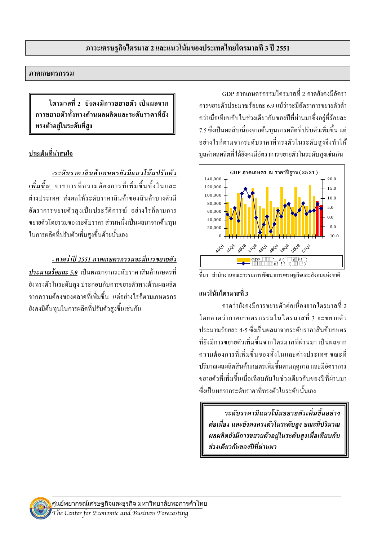#### ภาคเกษตรกรรม

ไตรมาสที่ 2 ยังคงมีการขยายตัว เป็นผลจาก การขยายตัวทั้งทางด้านผลผลิตและระดับราคาที่ยัง ทรงตัวอย่ในระดับที่สง

### <u>้</u><br>าไระเด็นที่น่าสนใจ

-ระดับราคาสินค้าเกษตรยังมีแนวโน้มปรับตัว *เพิ่มขึ้น* จากการที่ความต้องการที่เพิ่มขึ้นทั้งในและ ต่างประเทศ ส่งผลให้ระดับราคาสินค้าของสินค้าบางตัวมี อัตราการขยายตัวสงเป็นประวัติการณ์ อย่างไรก็ตามการ ึ่งยายตัวโคยรวมของระดับราคา ส่วนหนึ่งเป็นผลมาจากต้นทน ในการผลิตที่ปรับตัวเพิ่มสงขึ้นด้วยนั้นเอง

#### - คาดว่าปี 2551 ภาคเกษตรกรรมจะมีการขยายตัว

ประมาณร้อยละ 5.0 เป็นผลมาจากระดับราคาสินค้าเกษตรที่ ยังทรงตัวในระดับสูง ประกอบกับการขยายตัวทางด้านผลผลิต ึ จากความต้องของตลาดที่เพิ่มขึ้น แต่อย่างไรก็ตามเกษตรกร ้ยังคงมีต้นทุนในการผลิตที่ปรับตัวสูงขึ้นเช่นกัน

GDP ภาคเกษตรกรรมไตรมาสที่ 2 คาดยังคงบีดัตรา ึการขยายตัวประมาณร้อยละ 6.9 แม้ว่าจะมีอัตราการขยายตัวต่ำ กว่าเมื่อเทียบกับในช่วงเดียวกันของปีที่ผ่านมาซึ่งอยู่ที่ร้อยละ 7.5 ซึ่งเป็นผลสืบเนื่องจากต้นทุนการผลิตที่ปรับตัวเพิ่มขึ้น แต่ อย่างไรก็ตามจากระดับราคาที่ทรงตัวในระดับสูงจึงทำให้ มูลค่าผลผลิตที่ได้ยังคงมีอัตราการขยายตัวในระดับสูงเช่นกัน



ีที่มา : สำนักงานคณะกรรมการพัฒนาการเศรษฐกิจและสังคมแห่งชาติ

### แบาโบ้บไตรบาสที่ 3

ี คาคว่ายังคงมีการขยายตัวต่อเนื่องจากใตรมาสที่ 2 โดยกาดว่าภากเกษตรกรรมในไตรมาสที่ 3 จะขยายตัว ประมาณร้อยละ 4-5 ซึ่งเป็นผลมาจากระดับราคาสินค้าเกษตร ที่ยังบีการขยายตัวเพิ่มขึ้นจากใตรบาสที่ผ่าบบา เป็นผลจาก ความต้องการที่เพิ่มขึ้นของทั้งในและต่างประเทศ ขณะที่ ปริมาณผลผลิตสินค้าเกษตรเพิ่มขึ้นตามฤดูกาล และมีอัตราการ ขยายตัวที่เพิ่มขึ้นเมื่อเทียบกับในช่วงเดียวกันของปีที่ผ่านมา ซึ่งเป็นผลจากระดับราคาที่ทรงตัวในระดับนั้นเอง

ระดับราคามีแนวโน้มขยายตัวเพิ่มขึ้นอย่าง ต่อเนื่อง และยังคงทรงตัวในระดับสูง ขณะที่ปริมาณ ผลผลิตยังมีการขยายตัวอยู่ในระดับสูงเมื่อเทียบกับ ช่วงเดียวกันของปีที่ผ่านมา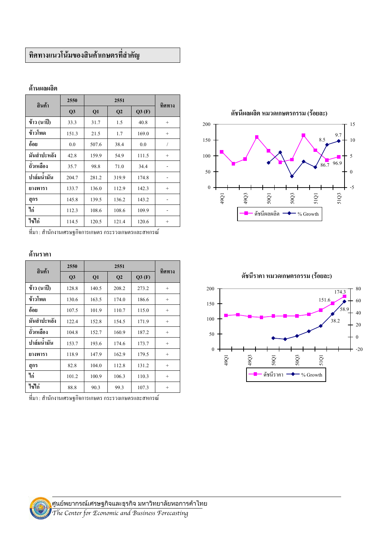# ทิศทางแนวโน้มของสินค้าเกษตรที่สำคัญ

#### ด้านผลผลิต

| สินค้า      | 2550           |       | ทิศทาง         |       |        |
|-------------|----------------|-------|----------------|-------|--------|
|             | Q <sub>3</sub> | Q1    | Q <sub>2</sub> | Q3(F) |        |
| ข้าว (นาปี) | 33.3           | 31.7  | 1.5            | 40.8  | $^{+}$ |
| ข้าวโพด     | 151.3          | 21.5  | 1.7            | 169.0 | $^{+}$ |
| อ้อย        | 0.0            | 507.6 | 38.4           | 0.0   | 1      |
| มันสำปะหลัง | 42.8           | 159.9 | 54.9           | 111.5 | $^{+}$ |
| ถั่วเหลือง  | 35.7           | 98.8  | 71.0           | 34.4  |        |
| ปาล์มน้ำมัน | 204.7          | 281.2 | 319.9          | 174.8 |        |
| ยางพารา     | 133.7          | 136.0 | 112.9          | 142.3 | $+$    |
| สูกร        | 145.8          | 139.5 | 136.2          | 143.2 |        |
| ไก่         | 112.3          | 108.6 | 108.6          | 109.9 |        |
| ไข่ไก่      | 114.5          | 120.5 | 121.4          | 120.6 | $^{+}$ |

ที่มา : สำนักงานเศรษฐกิจการเกษตร กระรวงเกษตรและสหกรณ์

#### ด้านราคา

| สินค้า      | 2550  |       | ทิศทาง         |       |        |
|-------------|-------|-------|----------------|-------|--------|
|             | Q3    | Q1    | Q <sub>2</sub> | Q3(F) |        |
| ข้าว (นาปี) | 128.8 | 140.5 | 208.2          | 273.2 | $^{+}$ |
| ข้าวโพด     | 130.6 | 163.5 | 174.0          | 186.6 | $^{+}$ |
| อ้อย        | 107.5 | 101.9 | 110.7          | 115.0 | $^{+}$ |
| มันสำปะหลัง | 122.4 | 152.8 | 154.5          | 171.9 | $^{+}$ |
| ถั่วเหลือง  | 104.8 | 152.7 | 160.9          | 187.2 | $^{+}$ |
| ปาล์มน้ำมัน | 153.7 | 193.6 | 174.6          | 173.7 | $+$    |
| ยางพารา     | 118.9 | 147.9 | 162.9          | 179.5 | $^{+}$ |
| สุกร        | 82.8  | 104.0 | 112.8          | 131.2 | $^{+}$ |
| ไก่         | 101.2 | 100.9 | 106.3          | 110.3 | $^{+}$ |
| ไข่ไก่      | 88.8  | 90.3  | 99.3           | 107.3 | $^{+}$ |

ที่มา : สำนักงานเศรษฐกิจการเกษตร กระรวงเกษตรและสหกรณ์



ดัชนีราคา หมวดเกษตรกรรม (ร้อยละ)

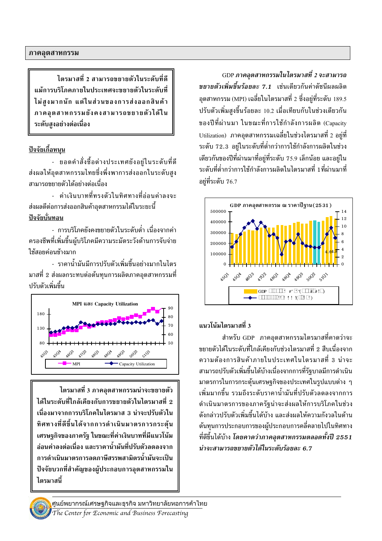ไตรมาสที่ 2 สามารถขยายตัวในระดับที่ดี แม้การบริโภคภายในประเทศจะขยายตัวในระดับที่ ไม่สูงมากนัก แต่ในส่วนของการส่งออกสินค้า ภาคอุตสาหกรรมยังคงสามารถขยายตัวได้ใน ระดับสงอย่างต่อเนื่อง

#### <u>ปัจจัยเกื้อหนุน</u>

- ยอดคำสั่งซื้อต่างประเทศยังอยู่ในระดับที่ดี ส่งผลให้อุตสาหกรรมไทยซึ่งพึ่งพาการส่งออกในระดับสูง สามารถขยายตัวได้อย่างต่อเนื่อง

- ค่าเงินบาทที่ทรงตัวใบทิศทางที่อ่อบค่าลงจะ ส่งผลดีต่อการส่งออกสินค้าอุตสาหกรรมได้ในระยะนี้ ปัจจัยบั้นทอน

- การบริโภคยังคงขยายตัวในระดับต่ำ เนื่องจากค่า ครองชีพที่เพิ่มขึ้นผู้บริโภคมีความระมัดระวังด้านการจับจ่าย ใช้สอยค่อนข้างมาก

- ราคาน้ำมันมีการปรับตัวเพิ่มขึ้นอย่างมากในไตร ้มาสที่ 2 ส่งผลกระทบต่อต้นทุนการผลิตภาคอุตสาหกรรมที่ <u> ปรับตัวเพิ่มขึ้น</u>



ี ไตรมาสที่ 3 ภาคอุตสาหกรรมน่าจะขยายตัว ได้ในระดับที่ใกล้เคียงกับการขยายตัวในไตรมาสที่ 2 เนื่องมาจากการบริโภคในไตรมาส 3 น่าจะปรับตัวใน ทิศทางที่ดีขึ้นได้จากการดำเนินมาตรการกระตุ้น เศรษฐกิจของภาครัฐ ในขณะที่ค่าเงินบาทที่มีแนวโน้ม ล่อนค่าลงต่อเนื่อง และราคาน้ำมันที่ปรับตัวลดลงจาก การดำเนินมาตรการลดภาษีสรรพสามิตรน้ำมันจะเป็น ปัจจัยบวกที่สำคัญของผู้ประกอบการอุตสาหกรรมใน ไตรมาสนี้

GDP ภาคอุตสาหกรรมในไตรมาสที่ 2 จะสามารถ *ขยายตัวเพิ่มขึ้นร้อยละ 7.1* เช่นเดียวกันค่าดัชนีผลผลิต อุตสาหกรรม (MPI) เฉลี่ยในไตรมาสที่ 2 ซึ่งอยู่ที่ระดับ 189.5 ปรับตัวเพิ่มสูงขึ้นร้อยละ 10.2 เมื่อเทียบกับในช่วงเดียวกัน ของปีที่ผ่านมา ในขณะที่การใช้กำลังการผลิต (Capacity Utilization) ภาคอุตสาหกรรมเฉลี่ยในช่วงไตรมาสที่ 2 อยู่ที่ ระดับ 72.3 อยู่ในระดับที่ต่ำกว่าการใช้กำลังการผลิตในช่วง เดียวกันของปีที่ผ่านมาที่อยู่ที่ระดับ 75.9 เล็กน้อย และอยู่ใน ้ระดับที่ต่ำกว่าการใช้กำลังการผลิตในไตรมาสที่ 1 ที่ผ่านมาที่ อย่ที่ระดับ 76.7



### แนวโน้มไตรมาสที่ 3

สำหรับ GDP ภาคอุตสาหกรรมไตรมาสที่คาดว่าจะ ้ขยายตัวได้ในระดับที่ใกล้เคียงกับช่วงไตรมาสที่ 2 สืบเนื่องจาก ้ความต้องการสินค้าภายในประเทศในไตรมาสที่ 3 น่าจะ สามารถปรับตัวเพิ่มขึ้นได้บ้างเนื่องจากการที่รัฐบาลมีการดำเนิน มาตรการในการกระตุ้นเศรษฐกิจของประเทศในรูปแบบต่าง ๆ ้เพิ่มมากขึ้น รวมถึงระดับราคาน้ำมันที่ปรับตัวลดลงจากการ ดำเนินมาตรการของภาครัฐน่าจะส่งผลให้การบริโภคในช่วง ้ดังกล่าวปรับตัวเพิ่มขึ้นได้บ้าง และส่งผลให้ความกังวลในด้าน ต้นทุนการประกอบการของผู้ประกอบการคลี่คลายไปในทิศทาง ี่ ที่ดีขึ้นได้บ้าง โดยคาดว่าภาคอตสาหกรรมตลอดทั้งปี 2551 น่าจะสามารถขยายตัวได้ในระดับร้อยละ 6.7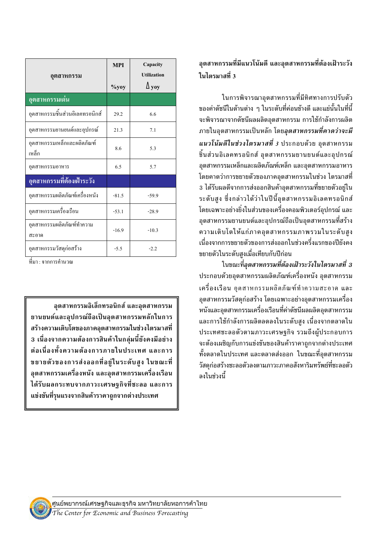| อุตสาหกรรม                           | <b>MPI</b><br>$\%$ yoy | Capacity<br><b>Utilization</b><br>$\Delta$ yoy |
|--------------------------------------|------------------------|------------------------------------------------|
| อุตสาหกรรมเด่น                       |                        |                                                |
| อุตสาหกรรมชื้นส่วนอิเลคทรอนิกส์      | 29.2                   | 6.6                                            |
| อุตสาหกรรมยานยนต์และอุปกรณ์          | 21.3                   | 7.1                                            |
| อุตสาหกรรมเหล็กและผลิตภัณฑ์<br>เหล็ก | 8.6                    | 5.3                                            |
| อุตสาหกรรมอาหาร                      | 6.5                    | 5.7                                            |
| <u>อุตสาหกรรมที่ต้องเฝ้าระวัง</u>    |                        |                                                |
| อุตสาหกรรมผลิตภัณฑ์เครื่องหนัง       | $-81.5$                | $-59.9$                                        |
| อุตสาหกรรมเครื่องเรือน               | $-53.1$                | $-28.9$                                        |
| อุตสาหกรรมผลิตภัณฑ์ทำความ<br>สะอาด   | $-16.9$                | $-10.3$                                        |
| อุตสาหกรรมวัสดุก่อสร้าง              | $-5.5$                 | $-2.2$                                         |

์ที่มา · จากการคำบวณ

้อตสาหกรรมอิเล็กทรอนิกส์ และอตสาหกรรม ยานยนต์และอุปกรณ์ถือเป็นอุตสาหกรรมหลักในการ สร้างความเติบโตของภาคอุตสาหกรรมในช่วงไตรมาสที่ 3 เนื่องจากความต้องการสินค้าในกล่มนี้ยังคงมีอย่าง ต่อเนื่องทั้งความต้องการภายในประเทศ และการ ขยายตัวของการส่งออกที่อยู่ในระดับสูง ในขณะที่ ้อุตสาหกรรมเครื่องหนัง และอุตสาหกรรมเครื่องเรือน ได้รับผลกระทบจากภาวะเศรษฐกิจที่ชะลอ และการ แข่งขันที่รุนแรงจากสินค้าราคาถูกจากต่างประเทศ

## ้อุตสาหกรรมที่มีแนวโน้มดี และอุตสาหกรรมที่ต้องเฝ้าระวัง ในไตรมาสที่ 3

ในการพิจารณาอุตสาหกรรมที่มีทิศทางการปรับตัว ้ของค่าดัชนีในด้านต่าง ๆ ในระดับที่ค่อนข้างดี และแย่นั้นในที่นี้ จะพิจารณาจากดัชนีผลผลิตอตสาหกรรม การใช้กำลังการผลิต ี ภายในอุตสาหกรรมเป็นหลัก โดย*อุตสาหกรรมที่คาดว่าจะมี แนวโน้มดีในช่วงไตรมาสที่ 3* ประกอบด้วย อุตสาหกรรม ชิ้นส่วนอิเลคทรอนิกส์ อุตสาหกรรมยานยนต์และอุปกรณ์ ้อตสาหกรรมเหล็กและผลิตภัณฑ์เหล็ก และอตสาหกรรมอาหาร โดยคาดว่าการขยายตัวของภาคอุตสาหกรรมในช่วง ไตรมาสที่ ่ 3 ได้รับผลดีจากการส่งออกสินค้าอุตสาหกรรมที่ขยายตัวอยู่ใน ้ระดับสง ซึ่งกล่าวได้ว่าในปีนี้อตสาหกรรมอิเลคทรอนิกส์ โดยเฉพาะอย่างยิ่งในส่วนของเครื่องคอมพิวเตอร์อุปกรณ์ และ ้อุตสาหกรรมยานยนต์และอุปกรณ์ถือเป็นอุตสาหกรรมที่สร้าง ความเติบโตให้แก่ภาคอุตสาหกรรมภาพรวมในระดับสูง เนื่องจากการขยายตัวของการส่งออกในช่วงครึ่งแรกของปียังคง ขยายตัวในระดับสงเมื่อเทียบกับปีก่อน

ในขณะที่อุตสาหกรรมที่ต้องเฝ้าระวังในไตรมาสที่ 3 ี ประกอบด้วยอุตสาหกรรมผลิตภัณฑ์เครื่องหนัง อุตสาหกรรม ้เครื่องเรือน อุตสาหกรรมผลิตภัณฑ์ทำความสะอาด และ ้อุตสาหกรรมวัสดุก่อสร้าง โดยเฉพาะอย่างอุตสาหกรรมเครื่อง หนังและอุตสาหกรรมเครื่องเรือนที่ค่าดัชนีผลผลิตอุตสาหกรรม ี และการใช้กำลังการผลิตลดลงในระดับสูง เนื่องจากตลาดใน ประเทศชะลอตัวตามภาวะเศรษฐกิจ รวมถึงผู้ประกอบการ จะต้องเผชิญกับการแข่งขันของสินค้าราคาถกจากต่างประเทศ ทั้งตลาดในประเทศ และตลาดส่งออก ในขณะที่อุตสาหกรรม วัสดุก่อสร้างชะลอตัวลงตามภาวะภาคอสังหาริมทรัพย์ที่ชะลอตัว ลงในช่วงนี้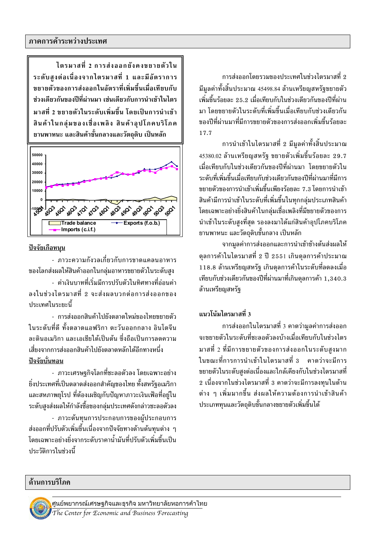ี การส่งออกโดยรวมของประเทศในช่วงไตรมาสที่ 2 ี่ มีมูลค่าทั้งสิ้นประมาณ 45498.84 ล้านเหรียญสหรัฐขยายตัว ้ เพิ่มขึ้นร้อยละ 25.2 เมื่อเทียบกับในช่วงเดียวกันของปีที่ผ่าน มา โดยขยายตัวในระดับที่เพิ่มขึ้นเมื่อเทียบกับช่วงเดียวกัน ของปีที่ผ่านมาที่มีการขยายตัวของการส่งออกเพิ่มขึ้นร้อยละ 17.7

ี การนำเข้าในไตรมาสที่ 2 มีมูลค่าทั้งสิ้นประมาณ  $45380.02$  ล้านเหรียญสหรัฐ ขยายตัวเพิ่มขึ้นร้อยละ 29.7 เมื่อเทียบกับในช่วงเดียวกันของปีที่ผ่านมา โดยขยายตัวใน ระดับที่เพิ่มขึ้นเมื่อเทียบกับช่วงเดียวกันของปีที่ผ่านมาที่มีการ ีขยายตัวของการนำเข้าเพิ่มขึ้นเพียงร้อยละ 7.3 โดยการนำเข้า สินค้ามีการนำเข้าในระดับที่เพิ่มขึ้นในทกกล่มประเภทสินค้า โดยเฉพาะอย่างยิ่งสินค้าในกลุ่มเชื่อเพลิงที่มีขยายตัวของการ นำเข้าในระดับสูงที่สุด รองลงมาได้แก่สินค้าอุปโภคบริโภค ียานพาหนะ และวัตถุดิบขั้นกลาง เป็นหลัก

จากมูลค่าการส่งออกและการนำเข้าข้างต้นส่งผลให้ ี่ ดุลการค้าในไตรมาสที่ 2 ปี 2551 เกินดุลการค้าประมาณ 118.8 ล้านเหรียญสหรัฐ เกินดุลการค้าในระดับที่ลดลงเมื่อ เทียบกับช่วงเดียวกันของปีที่ผ่านมาที่เกินดุลการค้า 1,340.3 ล้านเหรียญสหรัฐ

### แนวโน้มไตรมาสที่ 3

ี การส่งออกในไตรมาสที่ 3 คาดว่ามูลค่าการส่งออก ำะขยายตัวในระดับที่ชะลอตัวลงบ้างเมื่อเทียบกับในช่วงไตร มาสที่ 2 ที่มีการขยายตัวของการส่งออกในระดับสูงมาก ในขณะที่การการนำเข้าในไตรมาสที่ 3 คาดว่าจะมีการ ีขยายตัวในระดับสูงต่อเนื่องและใกล้เคียงกับในช่วงไตรมาสที่ ่ 2 เนื่องจากในช่วงไตรมาสที่ 3 คาดว่าจะมีการลงทนในด้าน ี่ ต่าง ๆ เพิ่มมากขึ้น ส่งผลให้ความต้องการนำเข้าสินค้า ประเภททุนและวัตถุดิบขั้นกลางขยายตัวเพิ่มขึ้นได้

ไตรมาสที่ 2 การส่งออกยังคงขยายตัวใน ระดับสูงต่อเนื่องจากไตรมาสที่ 1 และมีอัตราการ ขยายตัวของการส่งออกในอัตราที่เพิ่มขึ้นเมื่อเทียบกับ ช่วงเดียวกันของปีที่ผ่านมา เช่นเดียวกับการนำเข้าในไตร มาสที่ 2 ขยายตัวในระดับเพิ่มขึ้น โดยเป็นการนำเข้า สินค้าในกลุ่มของเชื่อเพลิง สินค้าอุปโภคบริโภค ี ยานพาหนะ และสินค้าขั้นกลางและวัตถุดิบ เป็นหลัก



### <u>ปัจจัยเกือหนุน</u>

- ภาวะความกังวลเกี่ยวกับการขาดแคลนอาหาร ของโลกส่งผลให้สินค้าออกในกลุ่มอาหารขยายตัวในระดับสูง - ค่าเงินบาทที่เริ่มมีการปรับตัวในทิศทางที่อ่อนค่า ลงในช่วงไตรมาสที่ 2 จะส่งผลบวกต่อการส่งออกของ ประเทศในระยะนี้

- การส่งออกสินค้าไปยังตลาดใหม่ของไทยขยายตัว ในระดับที่ดี ทั้งตลาดแอฟริกา ตะวันออกกลาง อินโดจีน ละตินคเมริกา และเอเชียใต้เป็นต้น ซึ่งถือเป็นการลดความ , เสี่ยงจากการส่งออกสินค้าไปยังตลาดหลักได้อีกทางหนึ่ง <u>ปัจจัยบั่นทอน</u>

- ภาวะเศรษฐกิจโลกที่ชะลอตัวลง โดยเฉพาะอย่าง ยิ่งประเทศที่เป็นตลาดส่งออกสำคัญของไทย ทั้งสหรัฐอเมริกา ี และสหภาพยุโรป ที่ต้องเผชิญกับปัญหาภาวะเงินเฟ้อที่อยู่ใน ระดับสูงส่งผลให้กำลังซื้อของกลุ่มประเทศดังกล่าวชะลอตัวลง - ภาวะต้นทุนการประกอบการของผู้ประกอบการ ส่งออกที่ปรับตัวเพิ่มขึ้นเนื่องจากปัจจัยทางด้านต้นทนต่าง ๆ โดยเฉพาะอย่างยิ่งจากระดับราคาน้ำมันทึ่ปรับตัวเพิ่มขึ้บเป็น

#### ด้านการบริโภค

้ำ|ระวัติการในช่วงนี้

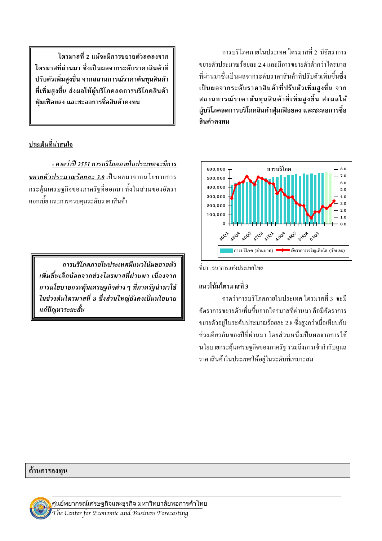ไตรมาสที่ 2 แม้จะมีการขยายตัวลดลงจาก ไตรมาสที่ผ่านมา ซึ่งเป็นผลจากระดับราคาสินค้าที่ ี ปรับตัวเพิ่มสูงขึ้น จากสถานการณ์ราคาต้นทุนสินค้า ที่เพิ่มสูงขึ้น ส่งผลให้ผู้บริโภคลดการบริโภคสินค้า ฟุ่มเฟือยลง และชะลอการซื้อสินค้าคงทน

## ประเด็นที่น่าสนใจ

- คาดว่าปี 2551 การบริโภคภายในประเทศจะมีการ ี<u>ขยายตัวประมาณ</u>ร้อยละ 3.0 เป็นผลมาจากนโยบายการ ึกระตุ้นเศรษฐกิจของภาครัฐที่ออกมา ทั้งในส่วนของอัตรา ้ คอกเบี้ย และการควบคุมระดับราคาสินค้า

การบริโภคภายในประเทศมีแนวโน้มขยายตัว เพิ่มขึ้นเล็กน้อยจากช่วงไตรมาสที่ผ่านมา เนื่องจาก การนโยบายกระตุ้นเศรษฐกิจต่าง ๆ ที่ภาครัฐนำมาใช้ ในช่วงต้นไตรมาสที่ 3 ซึ่งส่วนใหญ่ยังคงเป็นนโยบาย แก้ปัญหาระยะสั้น

การบริโภคภายในประเทศ ใตรมาสที่ 2 มีอัตราการ ขยายตัวประมาณร้อยละ 2.4 และมีการขยายตัวต่ำกว่าไตรมาส ที่ผ่านมาซึ่งเป็นผลจากระดับราคาสินค้าที่ปรับตัวเพิ่มขึ้นซึ่ง ้เป็นผลจากระดับราคาสินค้าที่ปรับตัวเพิ่มสงขึ้น จาก ี่สถานการณ์ราคาต้นทุนสินค้าที่เพิ่มสูงขึ้น ส่งผลให้ ้ผู้บริโภคลดการบริโภคสินค้าฟุ่มเฟือยลง และชะลอการซื้อ สินค้าคงทน



ที่บา · ธบาคารแห่งประเทศไทย

#### แนวโน้มไตรมาสที่ 3

ี คาคว่าการบริโภคภายในประเทศ ใตรมาสที่ 3 จะมี ้อัตราการขยายตัวเพิ่มขึ้นจากใตรมาสที่ผ่านมา คือมีอัตราการ ขยายตัวอย่ในระดับประมาณร้อยละ 2.8 ซึ่งสงกว่าเมื่อเทียบกับ ้ช่วงเดียวกันของปีที่ผ่านมา โดยส่วนหนึ่งเป็นผลจากการใช้ นโยบายกระตุ้นเศรษฐกิจของภาครัฐ รวมถึงการเข้ากำกับดูแล ราคาสินค้าในประเทศให้อย่ในระดับที่เหมาะสม

#### ด้านการลงทุน

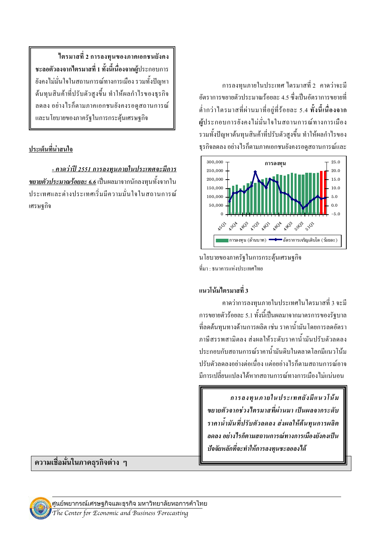ใตรมาสที่ 2 การลงทุนของภาคเอกชนยังคง ี ชะลอตัวลงจากใตรมาสที่ 1 ทั้งนี้เนื่องจากผู้ประกอบการ ้ยังคงไม่มั่นใจในสถานการณ์ทางการเมือง รวมทั้งปัญหา ้ต้นทุนสินค้าที่ปรับตัวสูงขึ้น ทำให้ผลกำไรของธุรกิจ ิลคลง อย่างไรก็ตามภาคเอกชนยังคงรอดูสถานการณ์ และนโยบายของภาครัฐในการกระต้นเศรษฐกิจ

#### ประเด็นที่น่าสนใจ

<u>- คาดว่าปี 2551 การลงทุนภายในประเทศจะมีการ</u> *ขยายตัวประมาณร้อยละ 6.6* เป็นผลมาจากนักลงทนทั้งจากใน <u> ประเทศและต่างประเทศเริ่มมีความมั่นใจในสถานการณ์</u> เศรษฐกิจ

ความเชื่อมั่นในภาคธุรกิจต่าง ๆ

ศูนย์พยากรณ์เศรษฐกิจและธุรกิจ มหาวิทยาลัยหอการค้าไทย

ี การลงทนภายในประเทศ ไตรมาสที่ 2 คาดว่าจะมี ้อัตราการขยายตัวประมาณร้อยละ 4.5 ซึ่งเป็นอัตราการขยายที่ ้ต่ำกว่าใตรมาสที่ผ่านมาที่อย่ที่ร้อยละ 5.4 ทั้งนี้เนื่องจาก ผู้ประกอบการยังคงไม่มั่นใจในสถานการณ์ทางการเมือง รวมทั้งปัญหาต้นทุนสินค้าที่ปรับตัวสูงขึ้น ทำให้ผลกำไรของ ิธรกิจลดลง อย่างไรก็ตามภาคเอกชนยังคงรอดสถานการณ์และ



นโยบายของภาครัฐในการกระต้นเศรษฐกิจ ที่มา : ธนาคารแห่งประเทศไทย

### แนวโน้มไตรมาสที่ 3

ี คาดว่าการลงทนภายในประเทศในใตรมาสที่ 3 จะมี ิการขยายตัวร้อยละ 5.1 ทั้งนี้เป็นผลมาจากมาตรการของรัฐบาล ี่ที่ลดต้นทนทางด้านการผลิต เช่น ราคาน้ำมันโดยการลดอัตรา ภาษีสรรพสามิตลง ส่งผลให้ระดับราคาน้ำมันปรับตัวลดลง <u>ิ ประกอบกับสถานการณ์ราคาน้ำมันดิบในตลาดโลกมีแนวโน้ม</u> ปรับตัวลดลงอย่างต่อเนื่อง แต่อยอ่างไรก็ตามสถานการณ์อาจ มีการเปลี่ยนแปลงได้หากสถานการณ์ทางการเมืองไม่แน่นอน

การลงทุนภายในประเทศยังมีแนวโน้ม ขยายตัวจากช่วงไตรมาสที่ผ่านมา เป็นผลจากระดับ ราคาน้ำมันที่ปรับตัวลดลง ส่งผลให้ต้นทุนการผลิต ิลดลง อย่างไรก็ตามสถานการณ์ทางการเมืองยังคงเป็น ปัจจัยหลักที่จะทำให้การลงทนชะลอลงได้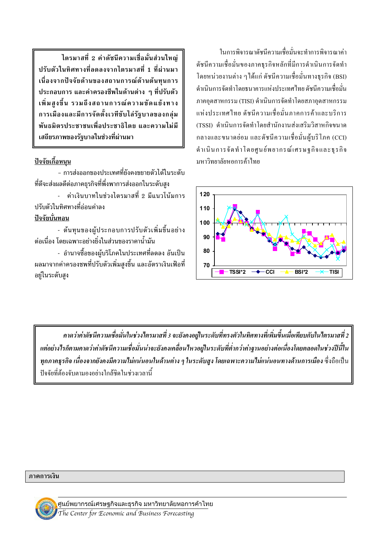ไตรมาสที่ 2 ค่าดัชนีความเชื่อมั่นส่วนใหญ่ ปรับตัวในทิศทางที่ลดลงจากไตรมาสที่ 1 ที่ผ่านมา เนื่องจากปัจจัยด้านของสถานการณ์ด้านต้นทนการ ประกอบการ และค่าครองชีพในด้านต่าง ๆ ที่ปรับตัว ้เพิ่มสูงขึ้น รวมถึงสถานการณ์ความขัดแย้งทาง การเมืองและมีการจัดตั้งเวทีขับไล่รัฐบาลของกลุ่ม พันธมิตรประชาชนเพื่อประชาธิไตย และความไม่มี เสถียรภาพของรัฐบาลในช่วงที่ผ่านมา

#### <u>ปัจจัยเกื้อหนุน</u>

- การส่งออกของประเทศที่ยังคงขยายตัวได้ในระดับ ที่ดีจะส่งผลดีต่อภาคธุรกิจที่พึ่งพาการส่งออกในระดับสูง - ค่าเงินบาทในช่วงไตรมาสที่ 2 มีแนวโน้มการ

ปรับตัวในทิศทางที่ล่อบค่าลง ปัจจัยบั้นทอน

- ต้นทุนของผู้ประกอบการปรับตัวเพิ่มขึ้นอย่าง ้ต่อเนื่อง โดยเฉพาะอย่างยิ่งในส่วนของราคาน้ำมัน

- อำนาจซื้อของผู้บริโภคในประเทศที่ลดลง อันเป็น ้ผลมาจากค่าครองชพที่ปรับตัวเพิ่มสูงขึ้น และอัตราเงินเฟ้อที่ อยู่ในระดับสูง

ใบการพิจารกาดัชบีความเชื่อบั่นจะทำการพิจารกาค่า ดัชนีความเชื่อมั่นของภาคธรกิจหลักที่มีการคำเนินการจัดทำ โดยหน่วยงานต่าง ๆ ได้แก่ ดัชนีความเชื่อมั่นทางธุรกิจ (BSI) ดำเนินการจัดทำโดยธนาคารแห่งประเทศไทย ดัชนีความเชื่อมั่น ภาคอุตสาหกรรม (TISI) ดำเนินการจัดทำโดยสภาอุตสาหกรรม แห่งประเทศไทย ดัชนีความเชื่อมั่นภาคการค้าและบริการ (TSSI) ดำเบิบการจัดทำโดยสำบักงาบส่งเสริบวิสาหกิจขบาด กลางและขนาดย่อม และคัชนีความเชื่อมั่นผ้บริโภค (CCI) ดำเนินการจัดทำโดยศูนย์พยากรณ์เศรษฐกิจและธุรกิจ บหาวิทยาลัยหลการด้าไทย



ิ คาดว่าค่าดัชนีความเชื่อมั่นในช่วงไตรมาสที่ 3 จะยังคงอยู่ในระดับที่ทรงตัวในทิศทางที่เพิ่มขึ้นเมื่อเทียบกับในไตรมาสที่ 2 แต่อย่างไรก็ตามคาดว่าค่าดัชนีความเชื่อมั่นน่าจะยังคงเคลื่อนไหวอยู่ในระดับที่ต่ำกว่าค่าฐานอย่างต่อเนื่องโดยตลอดในช่วงปีนี้ใน ทุกภาคธุรกิจ เนื่องจากยังคงมีความไม่แน่นอนในด้านต่าง ๆ ในระดับสูง โดยเฉพาะความไม่แน่นอนทางด้านการเมือง ซึ่งถือเป็น ้ปัจจัยที่ต้องจับตามองอย่างใกล้ชิดในช่วงเวลานี้

#### ภาคการเงิน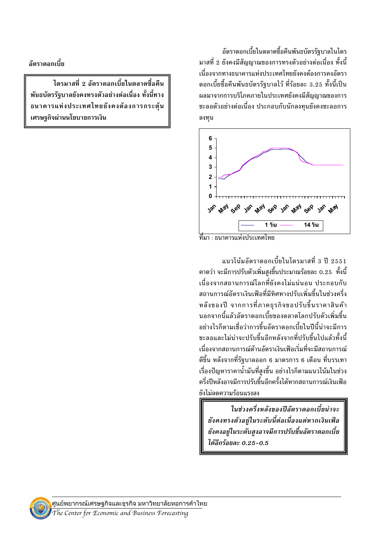ลัตราดลกเบี้ย

ไตรมาสที่ 2 อัตราดอกเบี้ยในตลาดซื้อคืน พันธบัตรรัฐบาลยังคงทรงตัวอย่างต่อเนื่อง ทั้งนี้ทาง ธนาคารแห่งประเทศไทยยังคงต้องการกระตุ้น เศรษฐกิจผ่านนโยบายการเงิน

อัตราดอกเบี้ยในตลาดซื้อคืนพันธบัตรรัฐบาลในไตร ้มาสที่ 2 ยังคงมีสัญญาณของการทรงตัวอย่างต่อเนื่อง ทั้งนี้ เนื่องจากทางธนาคารแห่งประเทศไทยยังคงต้องการคงอัตรา ดอกเบี้ยซื้อคืนพันธบัตรรัฐบาลไว้ ที่ร้อยละ 3.25 ทั้งนี้เป็น ผลมาจากการบริโภคภายในประเทศยังคงมีสัญญาณของการ ชะลอตัวอย่างต่อเนื่อง ประกอบกับนักลงทนยังคงชะลอการ ลงทุน



ีที่มา · ธนาคารแห่งประเทศไทย

แนวโน้มอัตราดอกเบี้ยในไตรมาสที่ 3 ปี 2551 ิ คาดว่า จะมีการปรับตัวเพิ่มสงขึ้นประมาณร้อยละ 0.25 ทั้งนี้ เนื่องจากสถานการณ์โลกที่ยังคงไม่แน่นอน ประกอบกับ สถานการณ์อัตราเงินเฟ้อที่มีทิศทางปรับเพิ่มขึ้นในช่วงครึ่ง หลังของปี จากการที่ภาคธุรกิจขอปรับขึ้นราคาสินค้า นอกจากนี้แล้วอัตราดอกเบี้ยของตลาดโลกปรับตัวเพิ่มขึ้น อย่างไรก็ตามเชื่อว่าการขึ้นอัตราดอกเบี้ยในปีนี้น่าจะมีการ ชะลอและไม่น่าจะปรับขึ้นอีกหลังจากที่ปรับขึ้นไปแล้วทั้งนี้ ้เนื่องจากสถานการณ์ด้านอัตราเงินเฟ้อเริ่มที่จะมีสถานการณ์ ดีขึ้น หลังจากที่รัฐบาลออก 6 มาตรการ 6 เดือน ที่บรรเทา เรื่องปัญหาราคาน้ำมันที่สูงขึ้น อย่างไรก็ตามแนวโน้มในช่วง ครึ่งปีหลังอาจมีการปรับขึ้นอีกครั้งได้หากสถานการณ์เงินเฟ้อ ยังไม่ลดความร้อนแรงลง

ในช่วงครึ่งหลังของปีอัตราดอกเบี้ยน่าจะ ยังคงทรงตัวอยู่ในระดับนี้ต่อเนื่องแต่หากเงินเฟ้อ ยังคงอยู่ในระดับสูงอาจมีการปรับขึ้นอัตราดอกเบี้ย ได้อีกร้อยละ 0.25-0.5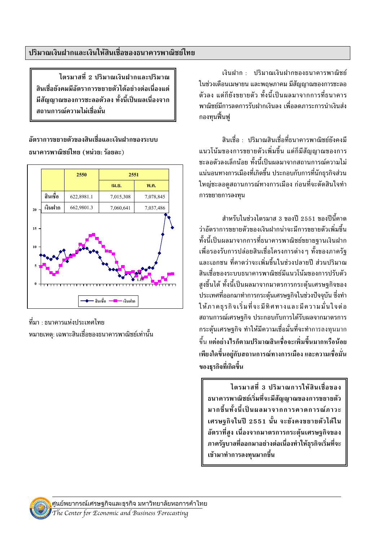ไตรมาสที่ 2 ปริมาณเงินฝากและปริมาณ สินเชื่อยังคมมีอัตราการขยายตัวได้อย่างต่อเนื่องแต่ ้มีสัญญาณของการชะลอตัวลง ทั้งนี้เป็นผลเนื่องจาก ิสถานการณ์ความไม่เชื่อมั่น

ลัตราการขยายตัวของสิบเชื่อและเงิบฝากของระบบ ธนาคารพาณิชย์ไทย (หน่วย: ร้อยละ)



ที่มา : ธนาคารแห่งประเทศไทย หมายเหตุ: เฉพาะสินเชื่อของธนาคารพาณิชย์เท่านั้น

เงินฝาก : ปริมาณเงินฝากของธนาคารพาณิชย์ ในช่วงเดือนเมษายน และพถษภาคม มีสัญญาณของการชะลอ ้ตัวลง แต่ก็ยังขยายตัว ทั้งนี้เป็นผลมาจากการที่ธนาคาร ้พาณิชย์มีการลดการรับฝากเงินลง เพื่อลดภาระการนำเงินส่ง กองทุนฟื้นฟู

้สินเชื่อ : ปริมาณสินเชื่อที่ธนาคารพาณิชย์ยังคงมี แนวโน้มของการขยายตัวเพิ่มขึ้น แต่ก็มีสัญญาณของการ ชะลอตัวลงเล็กน้อย ทั้งนี้เป็นผลมาจากสถานการณ์ความไม่ แน่นอนทางการเมืองที่เกิดขึ้น ประกอบกับการที่นักธรกิจส่วน ใหญ่ชะลอดูสถานการณ์ทางการเมือง ก่อนที่จะตัดสินใจทำ การขยายการลงทุน

้สำหรับในช่วงไตรมาส 3 ของปี 2551 ของปีนี้คาด ว่าอัตราการขยายตัวของเงินฝากน่าจะมีการขยายตัวเพิ่มขึ้น ทั้งนี้เป็นผลมาจากการที่ธนาคารพาณิชย์ขยายรานเงินฝาก ้เพื่อรองรับการปล่อยสินเชื่อโครงการต่าง ๆ ทั้งของภาครัฐ ี และเอกชน ที่คาดว่าจะเพิ่มขึ้นในช่วงปลายปี ส่วนปริมาณ สินเชื่อของระบบธนาคารพาณิชย์มีแนวโน้มของการปรับตัว สูงขึ้นได้ ทั้งนี้เป็นผลมาจากมาตรการกระตุ้นเศรษฐกิจของ ประเทศที่ออกมาทำการกระตุ้นเศรษฐกิจในช่วงปัจจุบัน ซึ่งทำ ให้ภาคธรกิจเริ่มที่จะมีทิศทางและมีความมั่นใจต่อ ิสถานการณ์เศรษฐกิจ ประกอบกับการได้รับผลจากมาตรการ ึกระตุ้นเศรษฐกิจ ทำให้มีความเชื่อมั่นที่จะทำการลงทุนมาก ้ขึ้น แต่อย่างไรก็ตามปริมาณสินเชื่อจะเพิ่มขึ้นมากหรือน้อย ้เพียงใดขึ้นอยู่กับสถานการณ์ทางการเมือง และความเชื่อมั่น ของธุรกิจที่เกิดขึ้น

ไตรมาสที่ 3 ปริมาณการให้สินเชื่อของ ธนาคารพาณิชย์เริ่มที่จะมีสัญญาณของการขยายตัว มากขึ้นทั้งนี้เป็นผลมาจากการคาดการณ์ภาวะ เศรษฐกิจในปี 2551 นั้น จะยังคงขยายตัวได้ใน อัตราที่สง เนื่องจากมาตรการกระต้นเศรษฐกิจของ ภาครัฐบาลที่ออกมาอย่างต่อเนื่องทำให้ธุรกิจเริ่มที่จะ เข้ามาทำการลงทุนมากขึ้น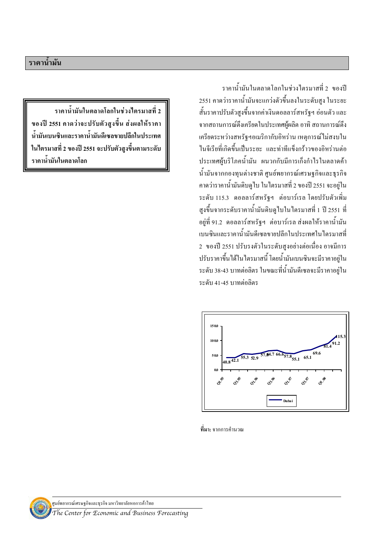ราคาน้ำมันในตลาดโลกในช่วงไตรมาสที่ 2 ของปี ่ 2551 คาดว่าราคาน้ำมันจะแกว่งตัวขึ้นลงในระดับสูง ในระยะ ์ สั้นราคาปรับตัวสูงขึ้นจากค่าเงินดอลลาร์สหรัฐฯ อ่อนตัว และ ิจากสถานการณ์ตึงเครียดในประเทศผู้ผลิต อาทิ สถานการณ์ตึง เครียดระหว่างสหรัฐฯอเมริกากับอิหร่าน เหตุการณ์ไม่สงบใน ในจีเรียที่เกิดขึ้นเป็นระยะ และท่าทีแข็งกร้าวของอิหร่านต่อ ประเทศผู้บริโภคน้ำมัน ผนวกกับมีการเกิ่งกำไรในตลาดค้า น้ำมันจากกองทุนต่างชาติ ศูนย์พยากรณ์เศรษฐกิจและธุรกิจ ี คาดว่าราคาน้ำมันดิบดูไบ ในไตรมาสที่ 2 ของปี 2551 จะอยู่ใน ระคับ 115.3 คอลลาร์สหรัฐฯ ต่อบาร์เรล โคยปรับตัวเพิ่ม สูงขึ้นจากระดับราคาน้ำมันดิบดูไบในไตรมาสที่ 1 ปี 2551 ที่ อยู่ที่ 91.2 ดอลลาร์สหรัฐฯ ต่อบาร์เรล ส่งผลให้ราคาน้ำมัน เบนซินและราคาน้ำมันดีเซลขายปลีกในประเทศในไตรมาสที่ 2 ของปี 2551 ปรับรงตัวในระดับสูงอย่างต่อเนื่อง อาจมีการ ปรับราคาขึ้นได้ในไตรมาสนี้ โดยน้ำมันเบนซินจะมีราคาอยู่ใน ระดับ 38-43 บาทต่อลิตร ในขณะที่น้ำมันดีเซลจะมีราคาอยู่ใน ระดับ 41-45 บาทต่อลิตร



ี **ที่มา:** จากการคำนวณ

ราคาน้ำมันในตลาดโลกในช่วงใตรมาสที่ 2 ของปี 2551 คาดว่าจะปรับตัวสูงขึ้น ส่งผลให้ราคา น้ำมันเบนซินและราคาน้ำมันดีเซลขายปลีกในประเทศ ในไตรมาสที่ 2 ของปี 2551 จะปรับตัวสูงขึ้นตามระดับ ราคาน้ำมันในตลาดโลก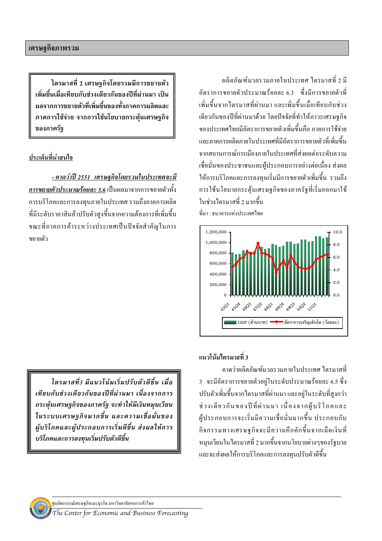ไตรมาสที่ 2 เศรษฐกิจโดยรวมมีการขยายตัว ้เพิ่มขึ้นเมื่อเทียบกับช่วงเดียวกันของปีที่ผ่านมา เป็น ้ผลจากการขยายตัวที่เพิ่มขึ้นของทั้งภาคการผลิตและ ภาคการใช้จ่าย จากการใช้นโยบายกระตุ้นเศรษฐกิจ ของภาครัฐ

## ประเด็นที่น่าสนใจ

<u>- คาดว่าปี 2551 เศรษฐกิจโดยรวมในประเทศจะมี</u> ี การขยายตัวประมาณร้อยละ 5.6 เป็นผลมาจากการขยายตัวทั้ง การบริโภคและการลงทนภายในประเทศ รวมถึงภาคการผลิต ที่มีระดับราคาสินค้าปรับตัวสูงขึ้นจากความต้องการที่เพิ่มขึ้น ขณะที่ภาคการค้าระหว่างประเทศเป็นปัจจัยสำคัญในการ ขยายตัว

ไตรมาสที่ง มีแนวโน้มเริ่มปรับตัวดีขึ้น เมื่อ เทียบกับช่วงเดียวกันของปีที่ผ่านมา เนื่องจากการ กระตุ้นเศรษฐกิจของภาครัฐ จะทำให้มีเงินหมุนเวียน ในระบบเศรษฐกิจมากขึ้น และความเชื่อมั่นของ ผู้บริโภคและผู้ประกอบการเริ่มดีขึ้น ส่งผลให้การ บริโภคและการลงทนเริ่มปรับตัวดีขึ้น

ผลิตภัณฑ์มวลรวมภายในประเทศ ใตรมาสที่ 2 มี ้ด้ตราการขยายตัวประมาณร้อยละ 63 - ซึ่งมีการขยายตัวที่ ้เพิ่มขึ้นจากไตรมาสที่ผ่านมา และเพิ่มขึ้นเมื่อเทียบกับช่วง ้เคียวกันของปีที่ผ่านมาด้วย โดยปัจจัยที่ทำให้ภาวะเศรษฐกิจ ของประเทศไทยมีอัตราการขยายตัวเพิ่มขึ้นคือ ภาคการใช้จ่าย และภาคการผลิตภายใบประเทศที่มีอัตราการขยายตัวที่เพิ่มขึ้น จากสถานการณ์การเมืองภายในประเทศที่ส่งผลต่อระดับความ เชื่อมั่นของประชาชนและผู้ประกอบการอย่างต่อเนื่อง ส่งผล ให้การบริโภคและการลงทุนเริ่มมีการขยายตัวเพิ่มขึ้น รวมถึง การใช้นโยบายกระตุ้นเศรษฐกิจชองภาครัฐที่เริ่มออกมาใช้ ใบห่างไตรบาสที่ 2 บากขึ้น ที่มา : ธนาคารแห่งประเทศไทย



แบาโบ้บไตรบาสที่ 3

ี คาคว่าผลิตภัณฑ์มวลรวมภายในประเทศ ใตรมาสที่ 3 จะมีอัตราการขยายตัวอยู่ในระดับประมาณร้อยละ 6.5 ซึ่ง ปรับตัวเพิ่มขึ้นจากใตรมาสที่ผ่านมา และอยู่ในระดับที่สูงกว่า ช่วงเดียวกันของปีที่ผ่านมา เนื่องจากผู้บริโภคและ ผู้ประกอบการจะเริ่มมีความเชื่อมั่นมากขึ้น ประกอบกับ กิจกรรมทางเศรษฐกิจจะมีความคึกคักขึ้นจากเม็ดเงินที่ หมนเวียนในใตรมาสที่ 2 มากขึ้นจากนโยบายต่างๆของรัฐบาล และจะส่งผลให้การบริโภคและการลงทุนปรับตัวดีขึ้น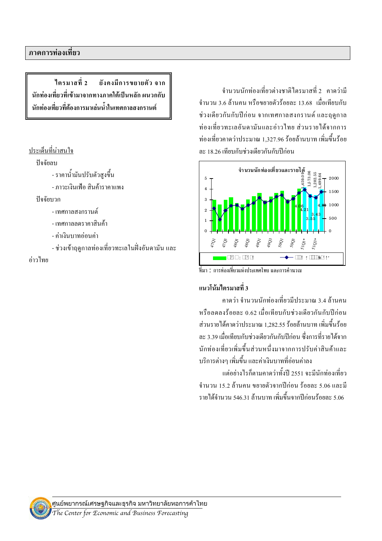ใตรมาสที่ 2 ยังคงมีการขยายตัว จาก นักท่องเที่ยวที่เข้ามาจากทางภาคใต้เป็นหลัก ผนวกกับ นักท่องเที่ยวที่ต้องการมาเล่นน้ำในเทศกาลสงกรานต์

#### ประเด็นที่น่าสนใจ

#### ปัจจัยลบ

- ราคาน้ำมันปรับตัวสูงขึ้น

- ภาวะเงินเฟ้อ สินค้าราคาแพง
- ปัจจัยบวก
	- เทศกาลสงกราบต์
	- เทศกาลลดราคาสิบค้า
	- ค่ำเงินบาทอ่อนค่า
	- ช่วงเข้าฤดูกาลท่องเที่ยวทะเลในฝั่งอันดามัน และ

#### ค่าวไทย

ี<br>จำบวบบักท่องเที่ยวต่างชาติใตรมาสที่ 2 คาดว่ามี จำนวน 3.6 ล้านคน หรือขยายตัวร้อยละ 13.68 เมื่อเทียบกับ ช่วงเดียวกันกับปีก่อน จากเทศกาลสงกรานต์ และฤดูกาล ท่องเที่ยวทะเลอันคามันและอ่าวไทย ส่วนรายได้จากการ ท่องเที่ยวอาดว่าประมาณ 1 327 96 ร้อยล้าบบาท เพิ่มขึ้นร้อย ละ 18.26 เทียบกับช่วงเดียวกันกับปีก่อน



ีที่มา : การท่องเที่ยวแห่งประเทศไทย และการคำนวณ

## แนวโน้มไตรมาสที่ 3

ิดาดว่า จำบาบบักท่องเที่ยวบีประบาณ 3.4 ล้าบคบ หรือลคลงร้อยละ 0.62 เมื่อเทียบกับช่วงเคียวกันกับปีก่อน ้ส่วนรายได้คาดว่าประมาณ 1.282.55 ร้อยล้านบาท เพิ่มขึ้นร้อย ละ 3.39 เมื่อเทียบกับช่วงเดียวกันกับปีก่อน ซึ่งการที่รายได้จาก นักท่องเที่ยวเพิ่มขึ้นส่วนหนึ่งมาจากการปรับค่าสินค้าและ ้บริการต่างๆ เพิ่มขึ้น และค่าเงินบาทที่อ่อนค่าลง

แต่อย่างไรก็ตามกาดว่าทั้งปี 2551 จะมีนักท่องเที่ยว ้จำนวน 15.2 ถ้านคน ขยายตัวจากปีก่อน ร้อยละ 5.06 และมี รายได้ถำบวบ 546 31 ล้าบบาท เพิ่มขึ้นจากปีก่อบร้อยละ 5 06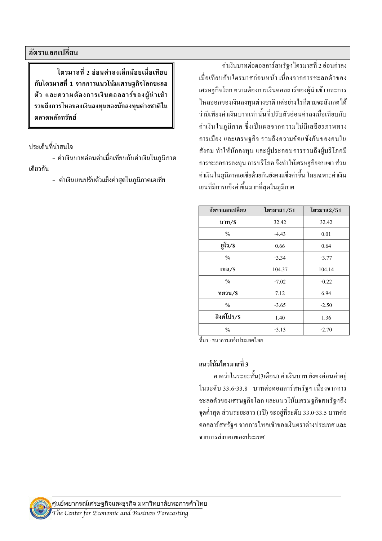ไตรมาสที่ 2 อ่อนค่าลงเล็กน้อยเมื่อเทียบ ้กับไตรมาสที่ 1 จากการแนวโน้มเศรษฐกิจโลกชะลอ ตัว และความต้องการเงินดอลลาร์ของผู้นำเข้า รวมถึงการไหลของเงินลงทุนของนักลงทุนต่างชาติใน ตลาดหลักทรัพย์

#### ประเด็นที่น่าสนใจ

- ค่าเงินบาทอ่อนค่าเมื่อเทียบกับค่าเงินในภูมิภาค เดียวกัน

- ค่าเงินเยนปรับตัวแข็งค่าสดในภมิภาคเอเชีย

้ค่าเงินบาทต่อดอลลาร์สหรัฐฯ ใตรมาสที่ 2 อ่อนค่าลง ้เมื่อเทียบกับใตรมาสก่อนหน้า เนื่องจากการชะลอตัวของ ้เศรษฐกิจโลก ความต้องการเงินดอลลาร์ของผู้นำเข้า และการ ใหลออกของเงินลงทุนต่างชาติ แต่อย่างใรก็ตามจะสังเกตใด้ ว่ามีเพียงค่าเงินบาทเท่านั้นที่ปรับตัวอ่อนค่าลงเมื่อเทียบกับ ้ค่าเงินในภูมิภาค ซึ่งเป็นผลจากความไม่มีเสถียรภาพทาง การเมือง และเศรษฐกิจ รวมถึงความขัดแข้งกันของคนใน ้สังคม ทำให้นักลงทุน และผู้ประกอบการรวมถึงผู้บริโภคมี ึการชะลอการลงทุน การบริโภค จึงทำให้เศรษฐกิจซบเซา ส่วน ้ค่าเงินในภูมิภาคเอเชียด้วยกันยังคงแข็งค่าขึ้น โดยเฉพาะค่าเงิน เขนที่มีการแข็งค่าขึ้นมากที่สุดในภูมิภาค

| อัตราแลกเปลี่ยน | ไตรมาส1/51 | ไตรมาส2/51 |  |
|-----------------|------------|------------|--|
| บาท/\$          | 32.42      | 32.42      |  |
| $\frac{6}{6}$   | $-4.43$    | 0.01       |  |
| ยูโร/\$         | 0.66       | 0.64       |  |
| $\frac{6}{6}$   | $-3.34$    | $-3.77$    |  |
| เยน/\$          | 104.37     | 104.14     |  |
| $\frac{6}{6}$   | $-7.02$    | $-0.22$    |  |
| หยวน/\$         | 7.12       | 6.94       |  |
| $\frac{0}{0}$   | $-3.65$    | $-2.50$    |  |
| สิงค์โปร/\$     | 1.40       | 1.36       |  |
| $\frac{0}{0}$   | $-3.13$    | $-2.70$    |  |

้ที่มา · ธบาคารแห่งประเทศไทย

### แนวโน้มไตรมาสที่ 3

้คาดว่าในระยะสั้น(3เดือน) ค่าเงินบาท ยังคงอ่อนค่าอยู่ ในระดับ 33.6-33.8 บาทต่อดอลลาร์สหรัฐฯ เนื่องจากการ ชะลอตัวของเศรษฐกิจโลก และแนวโน้มเศรษฐกิจสหรัฐฯถึง จุดต่ำสุด ส่วนระยะยาว (1ปี) จะอยู่ที่ระดับ 33.0-33.5 บาทต่อ ้ดอลลาร์สหรัฐฯ จากการใหลเข้าของเงินตราต่างประเทศ และ จากการส่งออกของประเทศ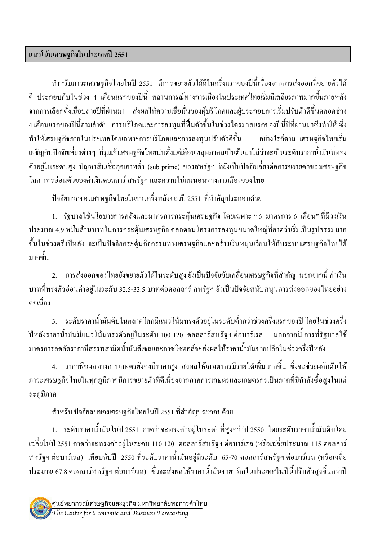## แนวโน้มเศรษฐกิจในประเทศปี 2551

้สำหรับภาวะเศรษฐกิจไทยในปี 2551 มีการขยายตัวได้ดีในครึ่งแรกของปีนี้เนื่องจากการส่งออกที่ขยายตัวได้ ู้ดี ประกอบกับในช่วง 4 เดือนแรกของปีนี้ สถานการณ์ทางการเมืองในประเทศไทยเริ่มมีเสถียรภาพมากขึ้นภายหลัง ี จากการเลือกตั้งเมื่อปลายปีที่ผ่านมา ส่งผลให้ความเชื่อมั่นของผ้บริโภคและผ้ประกอบการเริ่มปรับตัวดีขึ้นตลอดช่วง ่ 4 เคือนแรกของปีนี้ตามลำดับ การบริโภคและการลงทุนที่ฟื้นตัวขึ้นในช่วงใตรมาสแรกของปีนี้ปีที่ผ่านมาซึ่งทำให้ ซึ่ง ทำให้เศรษฐกิจภายในประเทศโดยเฉพาะการบริโภคและการลงทนปรับตัวดีขึ้น ้อย่างไรก็ตาม เศรษฐกิจไทยเริ่ม ้เผชิญกับปัจจัยเสี่ยงต่างๆ ที่รุมเร้าเศรษฐกิจไทยนับตั้งแต่เดือนพฤษภาคมเป็นต้นมาไม่ว่าจะเป็นระดับราคาน้ำมันที่ทรง ้ตัวอย่ในระดับสง ปัญหาสินเชื้อคณภาพต่ำ (sub-prime) ของสหรัฐฯ ที่ยังเป็นปัจจัยเสี่ยงต่อการขยายตัวของเศรษฐกิจ โลก การอ่อนตัวของค่าเงินดอลลาร์ สหรัฐฯ และความไม่แน่นอนทางการเมืองของไทย

ปัจจัยบวกของเศรษฐกิจไทยในช่วงครึ่งหลังของปี 2551 ที่สำคัญประกอบด้วย

1. รัฐบาลใช้นโยบายการคลังและมาตรการกระต้นเศรษฐกิจ โดยเฉพาะ " 6 มาตรการ 6 เดือน" ที่มีวงเงิน ี ประมาณ 4.9 หมื่นล้านบาทในการกระตุ้นเศรษฐกิจ ตลอดจนโครงการลงทุนขนาดใหญ่ที่คาดว่าเริ่มเป็นรูปธรรมมาก ี ขึ้นในช่วงครึ่งปีหลัง จะเป็นปัจจัยกระตุ้นกิจกรรมทางเศรษฐกิจและสร้างเงินหมุนเวียนให้กับระบบเศรษฐกิจไทยได้ มากขึ้น

่ 2. การส่งออกของไทยยังขยายตัวได้ในระดับสูง ยังเป็นปัจจัยขับเคลื่อนเศรษฐกิจที่สำคัญ นอกจากนี้ ค่าเงิน ิบาทที่ทรงตัวอ่อนค่าอยู่ในระดับ 32.5-33.5 บาทต่อดอลลาร์ สหรัฐฯ ยังเป็นปัจจัยสนับสนุนการส่งออกของไทยอย่าง ต่อเนื่อง

่ 3. ระดับราคาน้ำมันดิบในตลาดโลกมีแนวโน้มทรงตัวอยู่ในระดับต่ำกว่าช่วงครึ่งแรกของปี โดยในช่วงครึ่ง ์ ปีหลังราคาน้ำมันมีแนวโน้มทรงตัวอยู่ในระดับ 100-120 ดอลลาร์สหรัฐฯ ต่อบาร์เรล นอกจากนี้ การที่รัฐบาลใช้ มาตรการลดอัตราภาษีสรรพสามิตน้ำมันดีเซลและกาซโซฮอล์จะส่งผลให้ราคาน้ำมันขายปลีกในช่วงครึ่งปีหลัง

4. ราคาพืชผลทางการเกษตรยังคงมีราคาสูง ส่งผลให้เกษตรกรมีรายได้เพิ่มมากขึ้น ซึ่งจะช่วยผลักดันให้ ี ภาวะเศรษฐกิจไทยในทุกภูมิภาคมีการขยายตัวที่ดีเนื่องจากภาคการเกษตรและเกษตรกรเป็นภาคที่มีกำลังซื้อสูงในแต่ ละภูมิภาค

่ สำหรับ ปัจจัยลบของเศรษฐกิจไทยในปี 2551 ที่สำคัญประกอบด้วย

1. ระดับราคาน้ำมันในปี 2551 คาดว่าจะทรงตัวอยู่ในระดับที่สูงกว่าปี 2550 โดยระดับราคาน้ำมันดิบโดย ้เฉลี่ยในปี 2551 คาคว่าจะทรงตัวอยู่ในระดับ 110-120 ดอลลาร์สหรัฐฯ ต่อบาร์เรล (หรือเฉลี่ยประมาณ 115 ดอลลาร์ ิสหรัฐฯ ต่อบาร์เรล) เทียบกับปี 2550 ที่ระดับราคาน้ำมันอยู่ที่ระดับ 65-70 ดอลลาร์สหรัฐฯ ต่อบาร์เรล (หรือเฉลี่ย ประมาณ 67.8 ดอลลาร์สหรัฐฯ ต่อบาร์เรล) ซึ่งจะส่งผลให้ราคาน้ำมันขายปลีกในประเทศในปีนี้ปรับตัวสูงขึ้นกว่าปี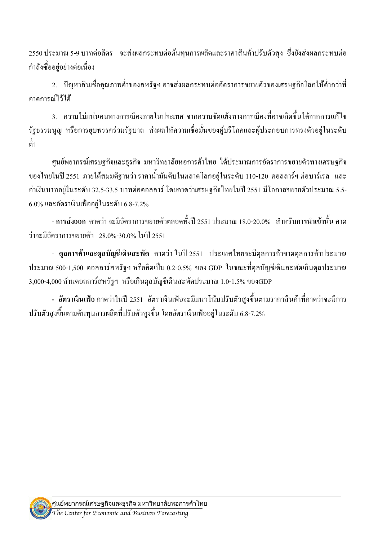ี 2550 ประมาณ 5-9 บาทต่อลิตร จะส่งผลกระทบต่อต้นทนการผลิตและราคาสินค้าปรับตัวสง ซึ่งยังส่งผลกระทบต่อ กำลังซื้ออยู่อย่างต่อเนื่อง

่ 2. ปัญหาสินเชื่อคุณภาพต่ำของสหรัฐฯ อาจส่งผลกระทบต่ออัตราการขยายตัวของเศรษฐกิจโลกให้ต่ำกว่าที่ คาดการก์ไว้ได้

่ 3. ความไม่แน่นอนทางการเมืองภายในประเทศ จากความขัดแย้งทางการเมืองที่อาจเกิดขึ้นได้จากการแก้ไข รัฐธรรมนุญ หรือการยบพรรคร่วมรัฐบาล ส่งผลให้ความเชื่อมั่นของผู้บริโภคและผู้ประกอบการทรงตัวอยู่ในระดับ ด่ำ

ศูนย์พยากรณ์เศรษฐกิจและธุรกิจ มหาวิทยาลัยหอการค้าไทย ได้ประมาณการอัตราการขยายตัวทางเศรษฐกิจ ของไทยในปี 2551 ภายใต้สมมติฐานว่า ราคาน้ำมันดิบในตลาดโลกอยู่ในระดับ 110-120 ดอลลาร์ฯ ต่อบาร์เรล และ ้ค่าเงินบาทอยู่ในระดับ 32.5-33.5 บาทต่อดอลลาร์ โดยคาดว่าเศรษฐกิจไทยในปี 2551 มีโอกาสขยายตัวประมาณ 5.5- $6.0\%$  และอัตราเงินเฟืออยู่ในระดับ  $6.8$ -7.2%

- การส่งออก กาคว่า จะมีอัตราการขยายตัวตลอดทั้งปี 2551 ประมาณ 18.0-20.0% สำหรับการนำเข้านั้น กาค ว่าจะมีอัตราการขยายตัว 28.0%-30.0% ในปี 2551

- ดุลการค้าและดุลบัญชีเดินสะพัด คาดว่า ในปี 2551 ประเทศไทยจะมีดุลการค้าขาดดุลการค้าประมาณ ี ประมาณ 500-1,500 คอลลาร์สหรัฐฯ หรือคิดเป็น 0.2-0.5% ของ GDP ในขณะที่คุลบัญชีเดินสะพัดเกินคุลประมาณ 3,000-4,000 ถ้านดอลลาร์สหรัฐฯ หรือเกินดุลบัญชีเดินสะพัดประมาณ 1.0-1.5% ของGDP

- อัตราเงินเฟ้อ คาคว่าในปี 2551 อัตราเงินเฟ้อจะมีแนวโน้มปรับตัวสูงขึ้นตามราคาสินค้าที่คาคว่าจะมีการ ปรับตัวสงขึ้นตามต้นทนการผลิตที่ปรับตัวสงขึ้น โดยอัตราเงินเฟืออย่ในระดับ 6.8-7.2%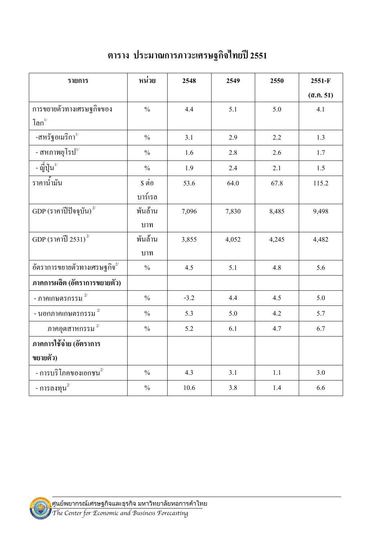| รายการ                                  | หน่วย         | 2548   | 2549  | 2550  | 2551-F          |
|-----------------------------------------|---------------|--------|-------|-------|-----------------|
|                                         |               |        |       |       | $($ a.ค. 51 $)$ |
| การขยายตัวทางเศรษฐกิจของ                | $\frac{0}{0}$ | 4.4    | 5.1   | 5.0   | 4.1             |
| โลก $^{\scriptscriptstyle 1\prime}$     |               |        |       |       |                 |
| -สหรัฐอเมริกา $^{\prime\prime}$         | $\frac{0}{0}$ | 3.1    | 2.9   | 2.2   | 1.3             |
| - สหภาพยุโรป $^{\text{1}\prime}$        | $\frac{0}{0}$ | 1.6    | 2.8   | 2.6   | 1.7             |
| - ญี่ปุ่น $^{\mathrm{l}\prime}$         | $\frac{0}{0}$ | 1.9    | 2.4   | 2.1   | 1.5             |
| ราคาน้ำมัน                              | \$ ต่อ        | 53.6   | 64.0  | 67.8  | 115.2           |
|                                         | บาร์เรล       |        |       |       |                 |
| $GDP$ (ราคาปีปัจจุบัน) $^{2/}$          | พันล้าน       | 7,096  | 7,830 | 8,485 | 9,498           |
|                                         | บาท           |        |       |       |                 |
| GDP (ราคาปี 2531) $^{2/}$               | พันล้าน       | 3,855  | 4,052 | 4,245 | 4,482           |
|                                         | บาท           |        |       |       |                 |
| อัตราการขยายตัวทางเศรษฐกิจ $^{2\prime}$ | $\frac{0}{0}$ | 4.5    | 5.1   | 4.8   | 5.6             |
| ภาคการผลิต (อัตราการขยายตัว)            |               |        |       |       |                 |
| - ภาคเกษตรกรรม $^{2/}$                  | $\frac{0}{0}$ | $-3.2$ | 4.4   | 4.5   | 5.0             |
| - นอกภาคเกษตรกรรม $^{\,2/}$             | $\frac{0}{0}$ | 5.3    | 5.0   | 4.2   | 5.7             |
| ภาคอุตสาหกรรม $^{\,2/}$                 | $\frac{0}{0}$ | 5.2    | 6.1   | 4.7   | 6.7             |
| ภาคการใช้จ่าย (อัตราการ                 |               |        |       |       |                 |
| ขยายตัว)                                |               |        |       |       |                 |
| - การบริโภคของเอกชน $^{2^{\prime}}$     | $\frac{0}{0}$ | 4.3    | 3.1   | 1.1   | 3.0             |
| - การลงทุน $^{2}$                       | $\frac{0}{0}$ | 10.6   | 3.8   | 1.4   | 6.6             |

# ตาราง ประมาณการภาวะเศรษฐกิจไทยปี 2551